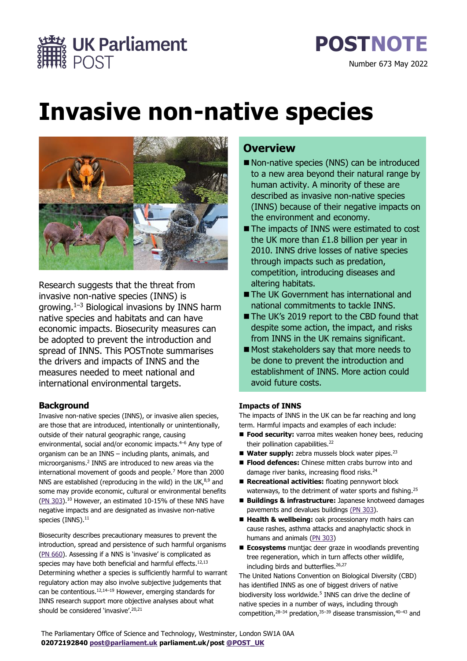

# **Invasive non-native species**



Research suggests that the threat from invasive non-native species (INNS) is growing.<sup>1</sup>–<sup>3</sup> Biological invasions by INNS harm native species and habitats and can have economic impacts. Biosecurity measures can be adopted to prevent the introduction and spread of INNS. This POSTnote summarises the drivers and impacts of INNS and the measures needed to meet national and international environmental targets.

# **Background**

Invasive non-native species (INNS), or invasive alien species, are those that are introduced, intentionally or unintentionally, outside of their natural geographic range, causing environmental, social and/or economic impacts. <sup>4</sup>–<sup>6</sup> Any type of organism can be an INNS – including plants, animals, and microorganisms.<sup>2</sup> INNS are introduced to new areas via the international movement of goods and people.<sup>7</sup> More than 2000 NNS are established (reproducing in the wild) in the UK, $^{8,9}$  and some may provide economic, cultural or environmental benefits [\(PN 303\)](https://post.parliament.uk/research-briefings/post-pn-303/).<sup>10</sup> However, an estimated 10-15% of these NNS have negative impacts and are designated as invasive non-native species (INNS). $^{\rm 11}$ 

Biosecurity describes precautionary measures to prevent the introduction, spread and persistence of such harmful organisms (PN [660\)](https://post.parliament.uk/research-briefings/post-pn-0660/). Assessing if a NNS is 'invasive' is complicated as species may have both beneficial and harmful effects.<sup>12,13</sup> Determining whether a species is sufficiently harmful to warrant regulatory action may also involve subjective judgements that can be contentious. 12,14–<sup>19</sup> However, emerging standards for INNS research support more objective analyses about what should be considered 'invasive'.<sup>20,21</sup>

# **Overview**

- Non-native species (NNS) can be introduced to a new area beyond their natural range by human activity. A minority of these are described as invasive non-native species (INNS) because of their negative impacts on the environment and economy.
- The impacts of INNS were estimated to cost the UK more than £1.8 billion per year in 2010. INNS drive losses of native species through impacts such as predation, competition, introducing diseases and altering habitats.
- The UK Government has international and national commitments to tackle INNS.
- The UK's 2019 report to the CBD found that despite some action, the impact, and risks from INNS in the UK remains significant.
- Most stakeholders say that more needs to be done to prevent the introduction and establishment of INNS. More action could avoid future costs.

# **Impacts of INNS**

The impacts of INNS in the UK can be far reaching and long term. Harmful impacts and examples of each include:

- Food security: varroa mites weaken honey bees, reducing their pollination capabilities.<sup>22</sup>
- Water supply: zebra mussels block water pipes.<sup>23</sup>
- Flood defences: Chinese mitten crabs burrow into and damage river banks, increasing flood risks.<sup>24</sup>
- Recreational activities: floating pennywort block waterways, to the detriment of water sports and fishing.<sup>25</sup>
- Buildings & infrastructure: Japanese knotweed damages pavements and devalues buildings [\(PN 303\)](https://post.parliament.uk/research-briefings/post-pn-303/).
- Health & wellbeing: oak processionary moth hairs can cause rashes, asthma attacks and anaphylactic shock in humans and animals [\(PN 303\)](https://post.parliament.uk/research-briefings/post-pn-303/)
- **Ecosystems** muntjac deer graze in woodlands preventing tree regeneration, which in turn affects other wildlife, including birds and butterflies.<sup>26,27</sup>

The United Nations Convention on Biological Diversity (CBD) has identified INNS as one of biggest drivers of native biodiversity loss worldwide.<sup>5</sup> INNS can drive the decline of native species in a number of ways, including through competition, <sup>28</sup>–<sup>34</sup> predation, <sup>35</sup>–<sup>39</sup> disease transmission, <sup>40</sup>–<sup>43</sup> and

The Parliamentary Office of Science and Technology, Westminster, London SW1A 0AA **02072192840 [post@parliament.uk](mailto:post@parliament.uk) parliament.uk/post [@POST\\_UK](https://twitter.com/POST_UK/status/1199738636239036418)**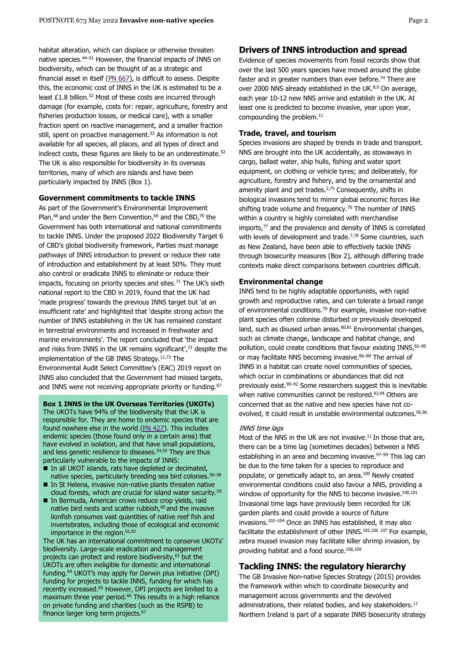habitat alteration, which can displace or otherwise threaten native species.<sup>44–51</sup> However, the financial impacts of INNS on biodiversity, which can be thought of as a strategic and financial asset in itself ( $PN$   $667$ ), is difficult to assess. Despite this, the economic cost of INNS in the UK is estimated to be a least £1.8 billion.<sup>52</sup> Most of these costs are incurred through damage (for example, costs for: repair, agriculture, forestry and fisheries production losses, or medical care), with a smaller fraction spent on reactive management, and a smaller fraction still, spent on proactive management.<sup>53</sup> As information is not available for all species, all places, and all types of direct and indirect costs, these figures are likely to be an underestimate.<sup>52</sup> The UK is also responsible for biodiversity in its overseas territories, many of which are islands and have been particularly impacted by INNS (Box 1).

# **Government commitments to tackle INNS**

As part of the Government's Environmental Improvement Plan,<sup>68</sup> and under the Bern Convention,<sup>69</sup> and the CBD,<sup>70</sup> the Government has both international and national commitments to tackle INNS. Under the proposed 2022 Biodiversity Target 6 of CBD's global biodiversity framework, Parties must manage pathways of INNS introduction to prevent or reduce their rate of introduction and establishment by at least 50%. They must also control or eradicate INNS to eliminate or reduce their impacts, focusing on priority species and sites. $71$  The UK's sixth national report to the CBD in 2019, found that the UK had 'made progress' towards the previous INNS target but 'at an insufficient rate' and highlighted that 'despite strong action the number of INNS establishing in the UK has remained constant in terrestrial environments and increased in freshwater and marine environments'. The report concluded that 'the impact and risks from INNS in the UK remains significant', <sup>72</sup> despite the implementation of the GB INNS Strategy.<sup>11,73</sup> The Environmental Audit Select Committee's (EAC) 2019 report on INNS also concluded that the Government had missed targets, and INNS were not receiving appropriate priority or funding.<sup>67</sup>

**Box 1 INNS in the UK Overseas Territories (UKOTs)** The UKOTs have 94% of the biodiversity that the UK is responsible for. They are home to endemic species that are found nowhere else in the world [\(PN 427\)](https://post.parliament.uk/research-briefings/post-pn-427/). This includes endemic species (those found only in a certain area) that have evolved in isolation, and that have small populations, and less genetic resilience to diseases.<sup>54,55</sup> They are thus particularly vulnerable to the impacts of INNS:

- In all UKOT islands, rats have depleted or decimated, native species, particularly breeding sea bird colonies.<sup>56-58</sup>
- In St Helena, invasive non-native plants threaten native cloud forests, which are crucial for island water security.<sup>59</sup>
- In Bermuda, American crows reduce crop yields, raid native bird nests and scatter rubbish, $60$  and the invasive lionfish consumes vast quantities of native reef fish and invertebrates, including those of ecological and economic importance in the region.<sup>61,62</sup>

The UK has an international commitment to conserve UKOTs' biodiversity. Large-scale eradication and management projects can protect and restore biodiversity, <sup>63</sup> but the UKOTs are often ineligible for domestic and international funding. <sup>64</sup> UKOT's may apply for Darwin plus initiative (DPI) funding for projects to tackle INNS, funding for which has recently increased. <sup>65</sup> However, DPI projects are limited to a maximum three year period. $66$  This results in a high reliance on private funding and charities (such as the RSPB) to finance larger long term projects.<sup>67</sup>

# **Drivers of INNS introduction and spread**

Evidence of species movements from fossil records show that over the last 500 years species have moved around the globe faster and in greater numbers than ever before.<sup>74</sup> There are over 2000 NNS already established in the UK.<sup>8,9</sup> On average, each year 10-12 new NNS arrive and establish in the UK. At least one is predicted to become invasive, year upon year, compounding the problem. 11

# **Trade, travel, and tourism**

Species invasions are shaped by trends in trade and transport. NNS are brought into the UK accidentally, as stowaways in cargo, ballast water, ship hulls, fishing and water sport equipment, on clothing or vehicle tyres; and deliberately, for agriculture, forestry and fishery, and by the ornamental and amenity plant and pet trades.<sup>2,75</sup> Consequently, shifts in biological invasions tend to mirror global economic forces like shifting trade volume and frequency. <sup>76</sup> The number of INNS within a country is highly correlated with merchandise imports, <sup>77</sup> and the prevalence and density of INNS is correlated with levels of development and trade.<sup>7,78</sup> Some countries, such as New Zealand, have been able to effectively tackle INNS through biosecurity measures (Box 2), although differing trade contexts make direct comparisons between countries difficult.

# **Environmental change**

INNS tend to be highly adaptable opportunists, with rapid growth and reproductive rates, and can tolerate a broad range of environmental conditions.<sup>79</sup> For example, invasive non-native plant species often colonise disturbed or previously developed land, such as disused urban areas.<sup>80,81</sup> Environmental changes, such as climate change, landscape and habitat change, and pollution, could create conditions that favour existing INNS, 82–85 or may facilitate NNS becoming invasive.<sup>86–89</sup> The arrival of INNS in a habitat can create novel communities of species, which occur in combinations or abundances that did not previously exist.<sup>90</sup>–<sup>92</sup> Some researchers suggest this is inevitable when native communities cannot be restored. 93,94 Others are concerned that as the native and new species have not coevolved, it could result in unstable environmental outcomes.<sup>95,96</sup>

# INNS time lags

Most of the NNS in the UK are not invasive. $11$  In those that are, there can be a time lag (sometimes decades) between a NNS establishing in an area and becoming invasive.<sup>97–99</sup> This lag can be due to the time taken for a species to reproduce and populate, or genetically adapt to, an area. <sup>100</sup> Newly created environmental conditions could also favour a NNS, providing a window of opportunity for the NNS to become invasive.<sup>100,101</sup> Invasional time lags have previously been recorded for UK garden plants and could provide a source of future invasions. <sup>102</sup>–<sup>104</sup> Once an INNS has established, it may also facilitate the establishment of other INNS.105,106 <sup>107</sup> For example, zebra mussel invasion may facilitate killer shrimp invasion, by providing habitat and a food source. 108,109

# **Tackling INNS: the regulatory hierarchy**

The GB Invasive Non-native Species Strategy (2015) provides the framework within which to coordinate biosecurity and management across governments and the devolved administrations, their related bodies, and key stakeholders.<sup>11</sup> Northern Ireland is part of a separate INNS biosecurity strategy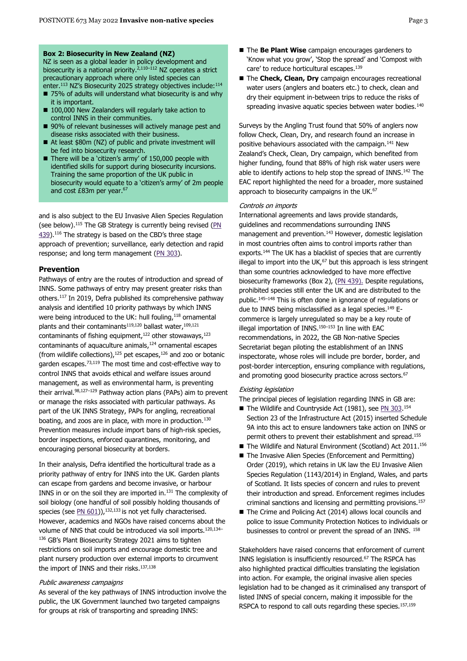#### **Box 2: Biosecurity in New Zealand (NZ)**

NZ is seen as a global leader in policy development and biosecurity is a national priority.<sup>2,110–112</sup> NZ operates a strict precautionary approach where only listed species can enter.<sup>113</sup> NZ's Biosecurity 2025 strategy objectives include:<sup>114</sup>

- 75% of adults will understand what biosecurity is and why it is important.
- 100,000 New Zealanders will regularly take action to control INNS in their communities.
- 90% of relevant businesses will actively manage pest and disease risks associated with their business.
- At least \$80m (NZ) of public and private investment will be fed into biosecurity research.
- There will be a 'citizen's army' of 150,000 people with identified skills for support during biosecurity incursions. Training the same proportion of the UK public in biosecurity would equate to a 'citizen's army' of 2m people and cost £83m per year. 67

and is also subject to the EU Invasive Alien Species Regulation (see below).<sup>115</sup> The GB Strategy is currently being revised [\(PN](https://post.parliament.uk/research-briefings/post-pn-439/) [439\)](https://post.parliament.uk/research-briefings/post-pn-439/).<sup>116</sup> The strategy is based on the CBD's three stage approach of prevention; surveillance, early detection and rapid response; and long term management [\(PN 303\)](https://post.parliament.uk/research-briefings/post-pn-303/).

# **Prevention**

Pathways of entry are the routes of introduction and spread of INNS. Some pathways of entry may present greater risks than others.<sup>117</sup> In 2019, Defra published its comprehensive pathway analysis and identified 10 priority pathways by which INNS were being introduced to the UK: hull fouling, 118 ornamental plants and their contaminants<sup>119,120</sup> ballast water, <sup>109,121</sup> contaminants of fishing equipment, $122$  other stowaways, $123$ contaminants of aquaculture animals, <sup>124</sup> ornamental escapes (from wildlife collections),  $125$  pet escapes,  $126$  and zoo or botanic garden escapes.<sup>73,119</sup> The most time and cost-effective way to control INNS that avoids ethical and welfare issues around management, as well as environmental harm, is preventing their arrival.<sup>98,127-129</sup> Pathway action plans (PAPs) aim to prevent or manage the risks associated with particular pathways. As part of the UK INNS Strategy, PAPs for angling, recreational boating, and zoos are in place, with more in production.<sup>130</sup> Prevention measures include import bans of high-risk species, border inspections, enforced quarantines, monitoring, and encouraging personal biosecurity at borders.

In their analysis, Defra identified the horticultural trade as a priority pathway of entry for INNS into the UK. Garden plants can escape from gardens and become invasive, or harbour INNS in or on the soil they are imported in.<sup>131</sup> The complexity of soil biology (one handful of soil possibly holding thousands of species (see  $PN$  [601\)](https://post.parliament.uk/research-briefings/post-pn-0601/)),  $^{132,133}$  is not yet fully characterised. However, academics and NGOs have raised concerns about the volume of NNS that could be introduced via soil imports.<sup>120,134–</sup> 136 GB's Plant Biosecurity Strategy 2021 aims to tighten restrictions on soil imports and encourage domestic tree and plant nursery production over external imports to circumvent the import of INNS and their risks.<sup>137,138</sup>

## Public awareness campaigns

As several of the key pathways of INNS introduction involve the public, the UK Government launched two targeted campaigns for groups at risk of transporting and spreading INNS:

- The **Be Plant Wise** campaign encourages gardeners to 'Know what you grow', 'Stop the spread' and 'Compost with care' to reduce horticultural escapes. 139
- The **Check, Clean, Dry** campaign encourages recreational water users (anglers and boaters etc.) to check, clean and dry their equipment in-between trips to reduce the risks of spreading invasive aquatic species between water bodies.<sup>140</sup>

Surveys by the Angling Trust found that 50% of anglers now follow Check, Clean, Dry, and research found an increase in positive behaviours associated with the campaign.<sup>141</sup> New Zealand's Check, Clean, Dry campaign, which benefited from higher funding, found that 88% of high risk water users were able to identify actions to help stop the spread of INNS.<sup>142</sup> The EAC report highlighted the need for a broader, more sustained approach to biosecurity campaigns in the UK.<sup>67</sup>

#### Controls on imports

International agreements and laws provide standards, guidelines and recommendations surrounding INNS management and prevention.<sup>143</sup> However, domestic legislation in most countries often aims to control imports rather than exports.<sup>144</sup> The UK has a blacklist of species that are currently illegal to import into the UK, $67$  but this approach is less stringent than some countries acknowledged to have more effective biosecurity frameworks (Box 2), [\(PN 439\)](https://post.parliament.uk/research-briefings/post-pn-439/). Despite regulations, prohibited species still enter the UK and are distributed to the public.<sup>145</sup>–<sup>148</sup> This is often done in ignorance of regulations or due to INNS being misclassified as a legal species.<sup>149</sup> Ecommerce is largely unregulated so may be a key route of illegal importation of INNS. $150-153$  In line with EAC recommendations, in 2022, the GB Non-native Species Secretariat began piloting the establishment of an INNS inspectorate, whose roles will include pre border, border, and post-border interception, ensuring compliance with regulations, and promoting good biosecurity practice across sectors.<sup>67</sup>

# Existing legislation

The principal pieces of legislation regarding INNS in GB are:

- The Wildlife and Countryside Act (1981), see [PN 303.](https://post.parliament.uk/research-briefings/post-pn-303/)154 Section 23 of the Infrastructure Act (2015) inserted Schedule 9A into this act to ensure landowners take action on INNS or permit others to prevent their establishment and spread. 155
- The Wildlife and Natural Environment (Scotland) Act 2011.<sup>156</sup>
- The Invasive Alien Species (Enforcement and Permitting) Order (2019), which retains in UK law the EU Invasive Alien Species Regulation (1143/2014) in England, Wales, and parts of Scotland. It lists species of concern and rules to prevent their introduction and spread. Enforcement regimes includes criminal sanctions and licensing and permitting provisions.<sup>157</sup>
- The Crime and Policing Act (2014) allows local councils and police to issue Community Protection Notices to individuals or businesses to control or prevent the spread of an INNS. <sup>158</sup>

Stakeholders have raised concerns that enforcement of current INNS legislation is insufficiently resourced. <sup>67</sup> The RSPCA has also highlighted practical difficulties translating the legislation into action. For example, the original invasive alien species legislation had to be changed as it criminalised any transport of listed INNS of special concern, making it impossible for the RSPCA to respond to call outs regarding these species.<sup>157,159</sup>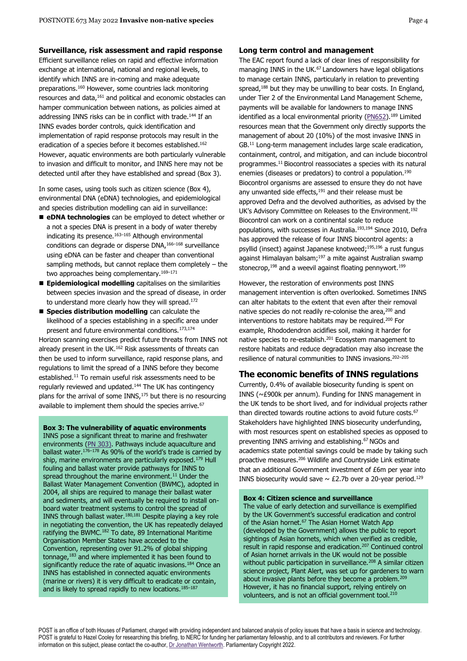Efficient surveillance relies on rapid and effective information exchange at international, national and regional levels, to identify which INNS are in-coming and make adequate preparations.<sup>160</sup> However, some countries lack monitoring resources and data, <sup>161</sup> and political and economic obstacles can hamper communication between nations, as policies aimed at addressing INNS risks can be in conflict with trade.<sup>144</sup> If an INNS evades border controls, quick identification and implementation of rapid response protocols may result in the eradication of a species before it becomes established. 162 However, aquatic environments are both particularly vulnerable to invasion and difficult to monitor, and INNS here may not be detected until after they have established and spread (Box 3).

In some cases, using tools such as citizen science (Box 4), environmental DNA (eDNA) technologies, and epidemiological and species distribution modelling can aid in surveillance:

- **eDNA technologies** can be employed to detect whether or a not a species DNA is present in a body of water thereby indicating its presence. $163-165$  Although environmental conditions can degrade or disperse DNA,<sup>166</sup>–<sup>168</sup> surveillance using eDNA can be faster and cheaper than conventional sampling methods, but cannot replace them completely – the two approaches being complementary.<sup>169–171</sup>
- Epidemiological modelling capitalises on the similarities between species invasion and the spread of disease, in order to understand more clearly how they will spread.<sup>172</sup>
- **Species distribution modelling** can calculate the likelihood of a species establishing in a specific area under present and future environmental conditions.173,174

Horizon scanning exercises predict future threats from INNS not already present in the UK.<sup>162</sup> Risk assessments of threats can then be used to inform surveillance, rapid response plans, and regulations to limit the spread of a INNS before they become established. <sup>11</sup> To remain useful risk assessments need to be regularly reviewed and updated.<sup>144</sup> The UK has contingency plans for the arrival of some  $INNS$ ,<sup>175</sup> but there is no resourcing available to implement them should the species arrive.<sup>67</sup>

**Box 3: The vulnerability of aquatic environments** INNS pose a significant threat to marine and freshwater environments [\(PN 303\)](https://post.parliament.uk/research-briefings/post-pn-303/). Pathways include aquaculture and ballast water.  $176-178$  As 90% of the world's trade is carried by ship, marine environments are particularly exposed.<sup>179</sup> Hull fouling and ballast water provide pathways for INNS to spread throughout the marine environment.<sup>11</sup> Under the Ballast Water Management Convention (BWMC), adopted in 2004, all ships are required to manage their ballast water and sediments, and will eventually be required to install onboard water treatment systems to control the spread of INNS through ballast water.180,181 Despite playing a key role in negotiating the convention, the UK has repeatedly delayed ratifying the BWMC.<sup>182</sup> To date, 89 International Maritime Organisation Member States have acceded to the Convention, representing over 91.2% of global shipping tonnage,<sup>183</sup> and where implemented it has been found to significantly reduce the rate of aquatic invasions.<sup>184</sup> Once an INNS has established in connected aquatic environments (marine or rivers) it is very difficult to eradicate or contain, and is likely to spread rapidly to new locations.<sup>185-187</sup>

## **Long term control and management**

The EAC report found a lack of clear lines of responsibility for managing INNS in the UK.<sup>67</sup> Landowners have legal obligations to manage certain INNS, particularly in relation to preventing spread,<sup>188</sup> but they may be unwilling to bear costs. In England, under Tier 2 of the Environmental Land Management Scheme, payments will be available for landowners to manage INNS identified as a local environmental priority [\(PN652\)](https://post.parliament.uk/research-briefings/post-pn-0652/).<sup>189</sup> Limited resources mean that the Government only directly supports the management of about 20 (10%) of the most invasive INNS in GB.<sup>11</sup> Long-term management includes large scale eradication, containment, control, and mitigation, and can include biocontrol programmes. <sup>11</sup> Biocontrol reassociates a species with its natural enemies (diseases or predators) to control a population.<sup>190</sup> Biocontrol organisms are assessed to ensure they do not have any unwanted side effects, $191$  and their release must be approved Defra and the devolved authorities, as advised by the UK's Advisory Committee on Releases to the Environment. 192 Biocontrol can work on a continental scale to reduce populations, with successes in Australia.193,194 Since 2010, Defra has approved the release of four INNS biocontrol agents: a psyllid (insect) against Japanese knotweed; 195,196 a rust fungus against Himalayan balsam;<sup>197</sup> a mite against Australian swamp stonecrop,<sup>198</sup> and a weevil against floating pennywort.<sup>199</sup>

However, the restoration of environments post INNS management intervention is often overlooked. Sometimes INNS can alter habitats to the extent that even after their removal native species do not readily re-colonise the area,<sup>200</sup> and interventions to restore habitats may be required. <sup>200</sup> For example, Rhododendron acidifies soil, making it harder for native species to re-establish.<sup>201</sup> Ecosystem management to restore habitats and reduce degradation may also increase the resilience of natural communities to INNS invasions. 202–205

# **The economic benefits of INNS regulations**

Currently, 0.4% of available biosecurity funding is spent on INNS (~£900k per annum). Funding for INNS management in the UK tends to be short lived, and for individual projects rather than directed towards routine actions to avoid future costs.<sup>67</sup> Stakeholders have highlighted INNS biosecurity underfunding, with most resources spent on established species as opposed to preventing INNS arriving and establishing. <sup>67</sup> NGOs and academics state potential savings could be made by taking such proactive measures. <sup>206</sup> Wildlife and Countryside Link estimate that an additional Government investment of £6m per year into INNS biosecurity would save  $\sim$  £2.7b over a 20-year period.<sup>129</sup>

### **Box 4: Citizen science and surveillance**

The value of early detection and surveillance is exemplified by the UK Government's successful eradication and control of the Asian hornet.<sup>67</sup> The Asian Hornet Watch App (developed by the Government) allows the public to report sightings of Asian hornets, which when verified as credible, result in rapid response and eradication.<sup>207</sup> Continued control of Asian hornet arrivals in the UK would not be possible without public participation in surveillance.<sup>208</sup> A similar citizen science project, Plant Alert, was set up for gardeners to warn about invasive plants before they become a problem.<sup>209</sup> However, it has no financial support, relying entirely on volunteers, and is not an official government tool. $210$ 

POST is an office of both Houses of Parliament, charged with providing independent and balanced analysis of policy issues that have a basis in science and technology. POST is grateful to Hazel Cooley for researching this briefing, to NERC for funding her parliamentary fellowship, and to all contributors and reviewers. For further information on this subject, please contact the co-author[, Dr Jonathan Wentworth.](mailto:wentworthj@parliament.uk) Parliamentary Copyright 2022.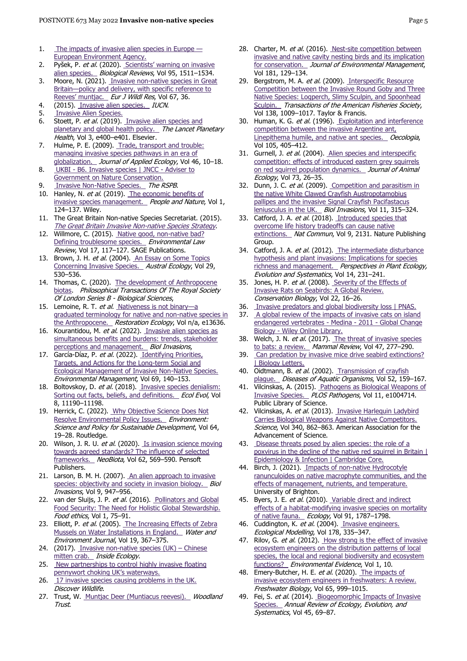- 1. [The impacts of invasive alien species in Europe](https://www.eea.europa.eu/publications/impacts-of-invasive-alien-species)  [European Environment Agency.](https://www.eea.europa.eu/publications/impacts-of-invasive-alien-species)
- 2. Pyšek, P. et al. (2020). Scientists' warning on invasive [alien species.](https://onlinelibrary.wiley.com/doi/abs/10.1111/brv.12627) Biological Reviews, Vol 95, 1511-1534.
- 3. Moore, N. (2021). Invasive non-native species in Great Britain-policy and delivery, with specific reference to [Reeves' muntjac.](https://doi.org/10.1007/s10344-021-01481-7) Eur J Wildl Res, Vol 67, 36.
- 4. (2015). [Invasive alien species.](https://www.iucn.org/regions/europe/our-work/biodiversity-conservation/invasive-alien-species) IUCN.
- 5. [Invasive Alien Species.](https://www.cbd.int/invasive/)
- 6. Stoett, P. et al. (2019). Invasive alien species and [planetary and global health policy.](https://www.thelancet.com/journals/lanplh/article/PIIS2542-5196(19)30194-9/fulltext) The Lancet Planetary Health, Vol 3, e400-e401. Elsevier.
- 7. Hulme, P. E. (2009). Trade, transport and trouble: [managing invasive species pathways in an era of](https://onlinelibrary.wiley.com/doi/abs/10.1111/j.1365-2664.2008.01600.x)  [globalization.](https://onlinelibrary.wiley.com/doi/abs/10.1111/j.1365-2664.2008.01600.x) Journal of Applied Ecology, Vol 46, 10-18.
- 8. UKBI [B6. Invasive species | JNCC -](https://jncc.gov.uk/our-work/ukbi-b6-invasive-species/) Adviser to [Government on Nature Conservation.](https://jncc.gov.uk/our-work/ukbi-b6-invasive-species/)
- 9. [Invasive Non-Native Species.](https://www.rspb.org.uk/our-work/policy-insight/species/invasive-non-native-species/) The RSPB.
- 10. Hanley, N. et al. (2019). The economic benefits of [invasive species management.](https://eprints.gla.ac.uk/185304/) People and Nature, Vol 1, 124–137. Wiley.
- 11. The Great Britain Non-native Species Secretariat. (2015). [The Great Britain Invasive Non-native Species Strategy](https://assets.publishing.service.gov.uk/government/uploads/system/uploads/attachment_data/file/455526/gb-non-native-species-strategy-pb14324.pdf).
- 12. Willmore, C. (2015). Native good, non-native bad? [Defining troublesome species.](https://doi.org/10.1177/1461452915575652) Environmental Law Review, Vol 17, 117-127. SAGE Publications.
- 13. Brown, J. H. et al. (2004). An Essay on Some Topics [Concerning Invasive Species.](https://onlinelibrary.wiley.com/doi/abs/10.1111/j.1442-9993.2004.01340.x) Austral Ecology, Vol 29, 530–536.
- 14. Thomas, C. (2020). The development of Anthropocene [biotas.](https://royalsocietypublishing.org/doi/full/10.1098/rstb.2019.0113) Philosophical Transactions Of The Royal Society Of London Series B - Biological Sciences,
- 15. Lemoine, R. T. et al. [Nativeness is not binary](https://onlinelibrary.wiley.com/doi/abs/10.1111/rec.13636)-a [graduated terminology for native and non-native species in](https://onlinelibrary.wiley.com/doi/abs/10.1111/rec.13636)  [the Anthropocene.](https://onlinelibrary.wiley.com/doi/abs/10.1111/rec.13636) Restoration Ecology, Vol n/a, e13636.
- 16. Kourantidou, M. et al. (2022). Invasive alien species as simultaneous benefits and burdens: trends, stakeholder [perceptions and management.](https://doi.org/10.1007/s10530-021-02727-w) Biol Invasions,
- 17. García-Díaz, P. et al. (2022). Identifying Priorities, [Targets, and Actions for the Long-term Social and](https://doi.org/10.1007/s00267-021-01541-3)  [Ecological Management of Invasive Non-Native Species.](https://doi.org/10.1007/s00267-021-01541-3)  Environmental Management, Vol 69, 140–153.
- 18. Boltovskoy, D. et al. (2018). Invasive species denialism: [Sorting out facts, beliefs, and definitions.](https://www.ncbi.nlm.nih.gov/pmc/articles/PMC6262740/) Ecol Evol, Vol 8, 11190–11198.
- 19. Herrick, C. (2022). [Why Objective Science Does Not](https://doi.org/10.1080/00139157.2022.1997327)  [Resolve Environmental Policy Issues.](https://doi.org/10.1080/00139157.2022.1997327) Environment: Science and Policy for Sustainable Development, Vol 64, 19–28. Routledge.
- 20. Wilson, J. R. U. et al. (2020). Is invasion science moving [towards agreed standards? The influence of selected](https://neobiota.pensoft.net/article/53243/)  [frameworks.](https://neobiota.pensoft.net/article/53243/) NeoBiota, Vol 62, 569-590. Pensoft Publishers.
- 21. Larson, B. M. H. (2007). [An alien approach to invasive](https://doi.org/10.1007/s10530-007-9095-z)  [species: objectivity and society in invasion biology.](https://doi.org/10.1007/s10530-007-9095-z) Biol Invasions, Vol 9, 947–956.
- 22. van der Sluijs, J. P. et al. (2016). Pollinators and Global [Food Security: The Need for Holistic Global Stewardship.](https://doi.org/10.1007/s41055-016-0003-z)  Food ethics, Vol 1, 75–91.
- 23. Elliott, P. et al. (2005). The Increasing Effects of Zebra [Mussels on Water Installations in England.](https://onlinelibrary.wiley.com/doi/abs/10.1111/j.1747-6593.2005.tb00575.x) Water and Environment Journal, Vol 19, 367–375.
- 24. (2017). [Invasive non-native species \(UK\)](https://insideecology.com/2017/09/13/invasive-non-native-species-uk-chinese-mitten-crab/)  Chinese [mitten crab.](https://insideecology.com/2017/09/13/invasive-non-native-species-uk-chinese-mitten-crab/) Inside Ecology.
- 25. [New partnerships to control highly invasive](https://www.britishcanoeing.org.uk/news/2020/new-partnerships-to-control-highly-invasive-floating-pennywort-choking-uks-waterways) floating [pennywort choking UK's waterways.](https://www.britishcanoeing.org.uk/news/2020/new-partnerships-to-control-highly-invasive-floating-pennywort-choking-uks-waterways)
- 26. 17 invasive species causing problems in the UK. Discover Wildlife.
- 27. Trust, W. [Muntjac Deer \(Muntiacus reevesi\).](https://www.woodlandtrust.org.uk/trees-woods-and-wildlife/animals/mammals/muntjac-deer/) Woodland Trust.
- 28. Charter, M. et al. (2016). Nest-site competition between [invasive and native cavity nesting birds and its implication](https://www.sciencedirect.com/science/article/pii/S0301479716303607)  [for conservation.](https://www.sciencedirect.com/science/article/pii/S0301479716303607) Journal of Environmental Management, Vol 181, 129–134.
- 29. Bergstrom, M. A. et al. (2009). [Interspecific](https://doi.org/10.1577/T08-095.1) Resource [Competition between the Invasive Round Goby and Three](https://doi.org/10.1577/T08-095.1)  [Native Species: Logperch, Slimy Sculpin, and Spoonhead](https://doi.org/10.1577/T08-095.1)  [Sculpin.](https://doi.org/10.1577/T08-095.1) Transactions of the American Fisheries Society, Vol 138, 1009–1017. Taylor & Francis.
- 30. Human, K. G. et al. (1996). Exploitation and interference [competition between the invasive Argentine ant,](https://doi.org/10.1007/BF00328744)  [Linepithema humile, and native ant species.](https://doi.org/10.1007/BF00328744) Oecologia, Vol 105, 405–412.
- 31. Gurnell, J. et al. (2004). Alien species and interspecific [competition: effects of introduced eastern grey squirrels](https://onlinelibrary.wiley.com/doi/abs/10.1111/j.1365-2656.2004.00791.x)  [on red squirrel population dynamics.](https://onlinelibrary.wiley.com/doi/abs/10.1111/j.1365-2656.2004.00791.x) Journal of Animal Ecology, Vol 73, 26–35.
- 32. Dunn, J. C. et al. (2009). Competition and parasitism in [the native White Clawed Crayfish Austropotamobius](https://doi.org/10.1007/s10530-008-9249-7)  [pallipes and the invasive Signal Crayfish Pacifastacus](https://doi.org/10.1007/s10530-008-9249-7)  [leniusculus in the UK.](https://doi.org/10.1007/s10530-008-9249-7) Biol Invasions, Vol 11, 315-324.
- 33. Catford, J. A. et al. (2018). Introduced species that [overcome life history tradeoffs can cause native](https://www.nature.com/articles/s41467-018-04491-3)  [extinctions.](https://www.nature.com/articles/s41467-018-04491-3) Nat Commun, Vol 9, 2131. Nature Publishing Group.
- 34. Catford, J. A. et al. (2012). The intermediate disturbance [hypothesis and plant invasions: Implications for species](https://www.sciencedirect.com/science/article/pii/S1433831911000758)  [richness and management.](https://www.sciencedirect.com/science/article/pii/S1433831911000758) Perspectives in Plant Ecology, Evolution and Systematics, Vol 14, 231–241.
- 35. Jones, H. P. et al. (2008). Severity of the Effects of [Invasive Rats on Seabirds: A Global Review.](https://onlinelibrary.wiley.com/doi/abs/10.1111/j.1523-1739.2007.00859.x)  Conservation Biology, Vol 22, 16–26.
- 36. [Invasive predators and global biodiversity loss | PNAS.](https://www.pnas.org/doi/10.1073/pnas.1602480113)
- 37. [A global review of the impacts of invasive cats on island](https://onlinelibrary.wiley.com/doi/abs/10.1111/j.1365-2486.2011.02464.x)  [endangered vertebrates -](https://onlinelibrary.wiley.com/doi/abs/10.1111/j.1365-2486.2011.02464.x) Medina - 2011 - Global Change Biology - [Wiley Online Library.](https://onlinelibrary.wiley.com/doi/abs/10.1111/j.1365-2486.2011.02464.x)
- 38. Welch, J. N. et al. (2017). The threat of invasive species [to bats: a review.](https://onlinelibrary.wiley.com/doi/abs/10.1111/mam.12099) Mammal Review, Vol 47, 277-290.
- 39. [Can predation by invasive mice drive seabird extinctions?](https://royalsocietypublishing.org/doi/abs/10.1098/rsbl.2007.0120)  | Biology Letters.
- 40. Oidtmann, B. et al. (2002). Transmission of crayfish [plague.](https://www.int-res.com/abstracts/dao/v52/n2/p159-167/) Diseases of Aquatic Organisms, Vol 52, 159-167.
- 41. Vilcinskas, A. (2015). Pathogens as Biological Weapons of [Invasive Species.](https://journals.plos.org/plospathogens/article?id=10.1371/journal.ppat.1004714%20) PLOS Pathogens, Vol 11, e1004714. Public Library of Science.
- 42. Vilcinskas, A. et al. (2013). Invasive Harlequin Ladybird [Carries Biological Weapons Against Native Competitors.](https://www.science.org/doi/abs/10.1126/science.1234032)  Science, Vol 340, 862–863. American Association for the Advancement of Science.
- 43. Disease threats posed by alien species: the role of a [poxvirus in the decline of the native red squirrel in Britain |](https://www.cambridge.org/core/journals/epidemiology-and-infection/article/disease-threats-posed-by-alien-species-the-role-of-a-poxvirus-in-the-decline-of-the-native-red-squirrel-in-britain/29A156B4FA73EF097DE35CF0475E6875)  [Epidemiology & Infection | Cambridge Core.](https://www.cambridge.org/core/journals/epidemiology-and-infection/article/disease-threats-posed-by-alien-species-the-role-of-a-poxvirus-in-the-decline-of-the-native-red-squirrel-in-britain/29A156B4FA73EF097DE35CF0475E6875)
- 44. Birch, J. (2021). Impacts of non-native Hydrocotyle [ranunculoides on native macrophyte communities, and the](https://research.brighton.ac.uk/en/studentTheses/b80e3451-03d0-4ac5-986d-0c96a4b1d635)  effects of management, nutrients, and temperature. University of Brighton.
- 45. Byers, J. E. et al. (2010). Variable direct and indirect effects of a habitat-modifying invasive species on mortality [of native fauna.](https://onlinelibrary.wiley.com/doi/abs/10.1890/09-0712.1) Ecology, Vol 91, 1787-1798.
- 46. Cuddington, K. et al. (2004). Invasive engineers. Ecological Modelling, Vol 178, 335–347.
- 47. Rilov, G. et al. (2012). How strong is the effect of invasive [ecosystem engineers on the distribution patterns of local](https://doi.org/10.1186/2047-2382-1-10)  [species, the local and regional biodiversity and ecosystem](https://doi.org/10.1186/2047-2382-1-10)  [functions?](https://doi.org/10.1186/2047-2382-1-10) Environmental Evidence, Vol 1, 10.
- 48. Emery-Butcher, H. E. et al. (2020). The impacts of [invasive ecosystem engineers in freshwaters: A review.](https://onlinelibrary.wiley.com/doi/abs/10.1111/fwb.13479)  Freshwater Biology, Vol 65, 999–1015.
- 49. Fei, S. et al. (2014). Biogeomorphic Impacts of Invasive [Species.](https://doi.org/10.1146/annurev-ecolsys-120213-091928) Annual Review of Ecology, Evolution, and Systematics, Vol 45, 69-87.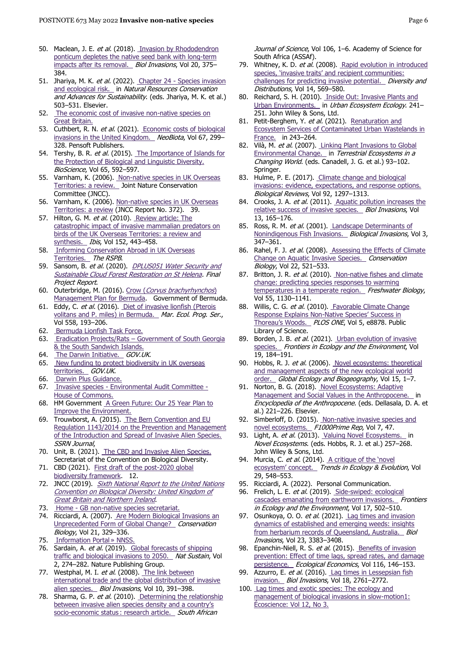- 50. Maclean, J. E. et al. (2018). Invasion by Rhododendron [ponticum depletes the native seed bank with long-term](https://doi.org/10.1007/s10530-017-1538-6)  [impacts after its removal.](https://doi.org/10.1007/s10530-017-1538-6) Biol Invasions, Vol 20, 375-384.
- 51. Jhariya, M. K. et al. (2022). Chapter 24 Species invasion [and ecological risk.](https://www.sciencedirect.com/science/article/pii/B9780128229767000144) in Natural Resources Conservation and Advances for Sustainability. (eds. Jhariya, M. K. et al.) 503–531. Elsevier.
- 52. [The economic cost of invasive non-native species on](https://www.cabi.org/VetMedResource/ebook/20123122024)  [Great Britain.](https://www.cabi.org/VetMedResource/ebook/20123122024)
- 53. Cuthbert, R. N. et al. (2021). Economic costs of biological [invasions in the United Kingdom.](https://neobiota.pensoft.net/article/59743/) NeoBiota, Vol 67, 299-328. Pensoft Publishers.
- 54. Tershy, B. R. et al. (2015). The Importance of Islands for [the Protection of Biological and Linguistic Diversity.](https://doi.org/10.1093/biosci/biv031)  BioScience, Vol 65, 592–597.
- 55. Varnham, K. (2006). Non-native species in UK Overseas [Territories: a review.](https://www.cabi.org/isc/abstract/20087208900) Joint Nature Conservation Committee (JNCC).
- 56. Varnham, K. (2006). Non-native species in UK Overseas [Territories: a review](https://data.jncc.gov.uk/data/bdb47e73-aa8b-4958-8658-b2e7f758e5bb/JNCC-Report-372-FINAL-WEB.pdf) (JNCC Report No. 372). 39.
- 57. Hilton, G. M. et al. (2010). Review article: The [catastrophic impact of invasive mammalian predators on](https://onlinelibrary.wiley.com/doi/abs/10.1111/j.1474-919X.2010.01031.x)  [birds of the UK Overseas Territories: a review and](https://onlinelibrary.wiley.com/doi/abs/10.1111/j.1474-919X.2010.01031.x)  [synthesis.](https://onlinelibrary.wiley.com/doi/abs/10.1111/j.1474-919X.2010.01031.x) Ibis, Vol 152, 443-458.
- 58. [Informing Conservation Abroad in UK Overseas](https://www.rspb.org.uk/our-work/conservation/projects/informing-conservation-on-the-uk-overseas-territories/)  [Territories.](https://www.rspb.org.uk/our-work/conservation/projects/informing-conservation-on-the-uk-overseas-territories/) The RSPB.
- 59. Sansom, B. et al. (2020). DPLUS051 Water Security and [Sustainable Cloud Forest Restoration on St Helena.](https://www.sainthelena.gov.sh/portfolios/environment-natural-resources-planning/darwin-initiative/dplus051-water-security-and-sustainable-cloud-forest-restoration/) Final Project Report.
- 60. Outerbridge, M. (2016). Crow ([Corvus brachyrhynchos](https://www.researchgate.net/publication/333246345_Crow_Corvus_brachyrhynchos_Management_Plan_for_Bermuda)) [Management Plan for Bermuda.](https://www.researchgate.net/publication/333246345_Crow_Corvus_brachyrhynchos_Management_Plan_for_Bermuda) Government of Bermuda.
- 61. Eddy, C. et al. (2016). Diet of invasive lionfish (Pterois [volitans and P. miles\) in Bermuda.](http://www.int-res.com/abstracts/meps/v558/p193-206/) Mar. Ecol. Prog. Ser., Vol 558, 193–206.
- 62. Bermuda Lionfish Task Force.
- 63. Eradication Projects/Rats [Government of South Georgia](https://www.gov.gs/environment/eradication-projects/eradication-projects-rats/)  & the South Sandwich Islands.
- 64. [The Darwin Initiative.](https://www.gov.uk/government/groups/the-darwin-initiative) GOV.UK.
- 65. [New funding to protect biodiversity in UK overseas](https://www.gov.uk/government/news/new-funding-to-protect-biodiversity-in-uk-overseas-territories)  [territories.](https://www.gov.uk/government/news/new-funding-to-protect-biodiversity-in-uk-overseas-territories) GOV.UK.
- 66. [Darwin Plus Guidance.](https://www.darwininitiative.org.uk/assets/uploads/sites/2/2021/09/R10-DPlus-Guidance-FINAL.pdf)
- 67. Invasive species [Environmental Audit Committee -](https://publications.parliament.uk/pa/cm201919/cmselect/cmenvaud/88/8804.htm) [House of Commons.](https://publications.parliament.uk/pa/cm201919/cmselect/cmenvaud/88/8804.htm)
- 68. HM Government A Green Future: Our 25 Year Plan to [Improve the Environment.](https://assets.publishing.service.gov.uk/government/uploads/system/uploads/attachment_data/file/693158/25-year-environment-plan.pdf)
- 69. Trouwborst, A. (2015). The Bern Convention and EU [Regulation 1143/2014 on the Prevention and Management](http://www.ssrn.com/abstract=2623496)  [of the Introduction and Spread of Invasive Alien Species.](http://www.ssrn.com/abstract=2623496)  SSRN Journal,
- 70. Unit, B. (2021). [The CBD and Invasive Alien Species.](https://www.cbd.int/idb/2009/about/cbd/)  Secretariat of the Convention on Biological Diversity.
- 71. CBD (2021). First draft of the post-2020 global [biodiversity framework.](https://www.cbd.int/doc/c/abb5/591f/2e46096d3f0330b08ce87a45/wg2020-03-03-en.pdf) 12.
- 72. JNCC (2019). Sixth National Report to the United Nations [Convention on Biological Diversity: United Kingdom of](https://data.jncc.gov.uk/data/527ff89f-5f6b-4e06-bde6-b823e0ddcb9a/UK-CBD-Overview-UKAssessmentsofProgress-AichiTargets-web.pdf)  **[Great Britain and Northern Ireland](https://data.jncc.gov.uk/data/527ff89f-5f6b-4e06-bde6-b823e0ddcb9a/UK-CBD-Overview-UKAssessmentsofProgress-AichiTargets-web.pdf).**
- 73. Home GB non-native species secretariat.
- 74. Ricciardi, A. (2007). Are Modern Biological Invasions an [Unprecedented Form of Global Change?](https://onlinelibrary.wiley.com/doi/abs/10.1111/j.1523-1739.2006.00615.x) Conservation Biology, Vol 21, 329–336.
- 75. Information Portal » NNSS.
- 76. Sardain, A. et al. (2019). Global forecasts of shipping [traffic and biological invasions to 2050.](https://www.nature.com/articles/s41893-019-0245-y) Nat Sustain, Vol 2, 274–282. Nature Publishing Group.
- 77. Westphal, M. I. et al. (2008). The link between [international trade and the global distribution of invasive](https://doi.org/10.1007/s10530-007-9138-5)  [alien species.](https://doi.org/10.1007/s10530-007-9138-5) Biol Invasions, Vol 10, 391-398.
- 78. Sharma, G. P. et al. (2010). Determining the relationship [between invasive alien species density and a country's](https://journals.co.za/doi/abs/10.10520/EJC97023)  socio-economic status : research article. South African

Journal of Science, Vol 106, 1-6. Academy of Science for South Africa (ASSAf).

- 79. Whitney, K. D. et al. (2008). Rapid evolution in introduced species, 'invasive traits' and recipient communities: [challenges for predicting invasive potential.](https://onlinelibrary.wiley.com/doi/abs/10.1111/j.1472-4642.2008.00473.x) Diversity and Distributions, Vol 14, 569-580.
- 80. Reichard, S. H. (2010). Inside Out: Invasive Plants and [Urban Environments.](https://onlinelibrary.wiley.com/doi/abs/10.2134/agronmonogr55.c12) in Urban Ecosystem Ecology. 241-251. John Wiley & Sons, Ltd.
- 81. Petit-Berghem, Y. et al. (2021). Renaturation and [Ecosystem Services of Contaminated Urban Wastelands in](https://link.springer.com/chapter/10.1007/978-3-030-74882-1_12)  [France.](https://link.springer.com/chapter/10.1007/978-3-030-74882-1_12) in 243-264.
- 82. Vilà, M. et al. (2007). Linking Plant Invasions to Global [Environmental Change.](https://doi.org/10.1007/978-3-540-32730-1_8) in Terrestrial Ecosystems in a Changing World. (eds. Canadell, J. G. et al.) 93–102. Springer
- 83. Hulme, P. E. (2017). Climate change and biological [invasions: evidence, expectations, and response options.](https://onlinelibrary.wiley.com/doi/abs/10.1111/brv.12282)  Biological Reviews, Vol 92, 1297–1313.
- 84. Crooks, J. A. et al. (2011). Aquatic pollution increases the [relative success of invasive species.](https://doi.org/10.1007/s10530-010-9799-3) Biol Invasions, Vol 13, 165–176.
- 85. Ross, R. M. et al. (2001). Landscape Determinants of [Nonindigenous Fish Invasions.](https://doi.org/10.1023/A:1015847305717) Biological Invasions, Vol 3, 347–361.
- 86. Rahel, F. J. et al. (2008). Assessing the Effects of Climate [Change on Aquatic Invasive Species.](https://onlinelibrary.wiley.com/doi/abs/10.1111/j.1523-1739.2008.00950.x) Conservation Biology, Vol 22, 521–533.
- 87. Britton, J. R. et al. (2010). Non-native fishes and climate [change: predicting species responses to warming](https://onlinelibrary.wiley.com/doi/abs/10.1111/j.1365-2427.2010.02396.x)  [temperatures in a temperate region.](https://onlinelibrary.wiley.com/doi/abs/10.1111/j.1365-2427.2010.02396.x) Freshwater Biology, Vol 55, 1130–1141.
- 88. Willis, C. G. et al. (2010). Favorable Climate Change Response Explains Non-[Native Species' Success in](https://journals.plos.org/plosone/article?id=10.1371/journal.pone.0008878%20)  [Thoreau's Woods.](https://journals.plos.org/plosone/article?id=10.1371/journal.pone.0008878%20) PLOS ONE, Vol 5, e8878. Public Library of Science.
- 89. Borden, J. B. et al. (2021). Urban evolution of invasive [species.](https://onlinelibrary.wiley.com/doi/abs/10.1002/fee.2295) Frontiers in Ecology and the Environment, Vol 19, 184–191.
- 90. Hobbs, R. J. et al. (2006). Novel ecosystems: theoretical [and management aspects of the new ecological world](https://onlinelibrary.wiley.com/doi/abs/10.1111/j.1466-822X.2006.00212.x)  [order.](https://onlinelibrary.wiley.com/doi/abs/10.1111/j.1466-822X.2006.00212.x) Global Ecology and Biogeography, Vol 15, 1-7.
- 91. Norton, B. G. (2018). Novel Ecosystems: Adaptive [Management and Social Values in the Anthropocene.](https://www.sciencedirect.com/science/article/pii/B9780128096659104896) in Encyclopedia of the Anthropocene. (eds. Dellasala, D. A. et al.) 221–226. Elsevier.
- 92. Simberloff, D. (2015). Non-native invasive species and [novel ecosystems.](https://www.ncbi.nlm.nih.gov/pmc/articles/PMC4447029/) F1000Prime Rep, Vol 7, 47.
- 93. Light, A. et al. (2013). Valuing Novel Ecosystems. Novel Ecosystems. (eds. Hobbs, R. J. et al.) 257–268. John Wiley & Sons, Ltd.
- 94. Murcia, C. et al. (2014). A critique of the 'novel [ecosystem' concept.](https://linkinghub.elsevier.com/retrieve/pii/S0169534714001578) Trends in Ecology & Evolution, Vol 29, 548–553.
- 95. Ricciardi, A. (2022). Personal Communication.
- 96. Frelich, L. E. et al. (2019). Side-swiped: ecological [cascades emanating from earthworm invasions.](https://onlinelibrary.wiley.com/doi/abs/10.1002/fee.2099) Frontiers in Ecology and the Environment, Vol 17, 502-510.
- 97. Osunkoya, O. O. et al. (2021). Lag times and invasion [dynamics of established and emerging weeds: insights](https://doi.org/10.1007/s10530-021-02581-w)  [from herbarium records of Queensland, Australia.](https://doi.org/10.1007/s10530-021-02581-w) Biol Invasions, Vol 23, 3383–3408.
- 98. Epanchin-Niell, R. S. et al. (2015). Benefits of invasion [prevention: Effect of time lags, spread rates, and damage](https://www.sciencedirect.com/science/article/pii/S092180091500172X)  [persistence.](https://www.sciencedirect.com/science/article/pii/S092180091500172X) Ecological Economics, Vol 116, 146-153.
- 99. Azzurro, E. et al. (2016). Lag times in Lessepsian fish [invasion.](https://doi.org/10.1007/s10530-016-1184-4) Biol Invasions, Vol 18, 2761–2772.
- 100. [Lag times and exotic species: The ecology and](https://www.tandfonline.com/doi/abs/10.2980/i1195-6860-12-3-316.1?casa_token=m7getL2j0EgAAAAA:9jztQ5S2tWx6VqFSaEfVgTUxOkB2wr44H0cIFOp5mwxd1ACZPwBOBBCI4N7QC9vsn5LVxJkq4saW%20)  management of biological invasions in slow-motion1: [Écoscience: Vol 12, No 3.](https://www.tandfonline.com/doi/abs/10.2980/i1195-6860-12-3-316.1?casa_token=m7getL2j0EgAAAAA:9jztQ5S2tWx6VqFSaEfVgTUxOkB2wr44H0cIFOp5mwxd1ACZPwBOBBCI4N7QC9vsn5LVxJkq4saW%20)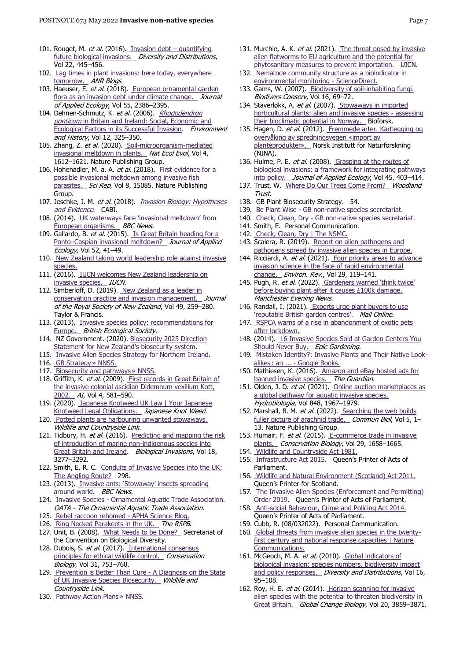- 101. Rouget, M. et al. (2016). [Invasion debt](https://onlinelibrary.wiley.com/doi/abs/10.1111/ddi.12408)  quantifying [future biological invasions.](https://onlinelibrary.wiley.com/doi/abs/10.1111/ddi.12408) Diversity and Distributions, Vol 22, 445–456.
- 102. Lag times in plant invasions: here today, everywhere [tomorrow.](https://ucanr.edu/blogs/blogcore/postdetail.cfm?postnum=18530%20) ANR Blogs.
- 103. Haeuser, E. et al. (2018). European ornamental garden [flora as an invasion debt under climate change.](https://onlinelibrary.wiley.com/doi/abs/10.1111/1365-2664.13197) Journal of Applied Ecology, Vol 55, 2386–2395.
- 104. Dehnen-Schmutz, K. et al. (2006). Rhododendron ponticum [in Britain and Ireland: Social, Economic and](https://www.jstor.org/stable/20723582)  [Ecological Factors in its Successful Invasion.](https://www.jstor.org/stable/20723582) Environment and History, Vol 12, 325–350.
- 105. Zhang, Z. et al. (2020). Soil-microorganism-mediated [invasional meltdown in plants.](https://www.nature.com/articles/s41559-020-01311-0) Nat Ecol Evol, Vol 4, 1612–1621. Nature Publishing Group.
- 106. Hohenadler, M. a. A. et al. (2018)[. First evidence](https://www.nature.com/articles/s41598-018-33445-4) for a [possible invasional meltdown among invasive fish](https://www.nature.com/articles/s41598-018-33445-4)  [parasites.](https://www.nature.com/articles/s41598-018-33445-4) Sci Rep, Vol 8, 15085. Nature Publishing Group.
- 107. Jeschke, J. M. et al. (2018). Invasion Biology: Hypotheses [and Evidence](https://www.cabi.org/ISC/ebook/20183119345). CABI.
- 108. (2014). [UK waterways face 'invasional meltdown' from](https://www.bbc.com/news/science-environment-29570347)  [European organisms.](https://www.bbc.com/news/science-environment-29570347) BBC News.
- 109. Gallardo, B. et al. (2015). Is Great Britain heading for a Ponto–[Caspian invasional meltdown?](https://onlinelibrary.wiley.com/doi/abs/10.1111/1365-2664.12348) Journal of Applied Ecology, Vol 52, 41–49.
- 110. New Zealand taking world leadership role against invasive [species.](https://www.doc.govt.nz/news/media-releases/2016/new-zealand-taking-world-leadership-role-against-invasive-species/)
- 111. (2016). [IUCN welcomes New Zealand leadership on](https://www.iucn.org/news/species/201612/iucn-welcomes-new-zealand-leadership-invasive-species)  [invasive species.](https://www.iucn.org/news/species/201612/iucn-welcomes-new-zealand-leadership-invasive-species) IUCN.
- 112. Simberloff, D. (2019). [New Zealand as a leader in](https://doi.org/10.1080/03036758.2019.1652193)  [conservation practice and invasion management.](https://doi.org/10.1080/03036758.2019.1652193) Journal of the Royal Society of New Zealand, Vol 49, 259–280. Taylor & Francis.
- 113. (2013). [Invasive species policy: recommendations for](https://www.britishecologicalsociety.org/invasive-species-policy-recommendations-for-europe/)  [Europe.](https://www.britishecologicalsociety.org/invasive-species-policy-recommendations-for-europe/) British Ecological Society.
- 114. NZ Government. (2020). [Biosecurity 2025 Direction](https://www.mpi.govt.nz/biosecurity/about-biosecurity-in-new-zealand/biosecurity-2025/biosecurity-2025/)  [Statement for New Zealand's biosecurity system](https://www.mpi.govt.nz/biosecurity/about-biosecurity-in-new-zealand/biosecurity-2025/biosecurity-2025/).
- 115. Invasive Alien Species Strategy for Northern Ireland.
- 116. GB Strategy » NNSS.
- 117. Biosecurity and pathways » NNSS. 118. Griffith, K. et al. (2009). First records in Great Britain of the invasive colonial ascidian Didemnum vexillum Kott, [2002.](http://www.aquaticinvasions.net/2009/index4.html) AI, Vol 4, 581-590.
- 119. (2020). [Japanese Knotweed UK Law | Your Japanese](https://japaneseknotweedagency.co.uk/your-japanese-knotweed-legal-obligations/)  [Knotweed Legal Obligations.](https://japaneseknotweedagency.co.uk/your-japanese-knotweed-legal-obligations/) Japanese Knot Weed.
- 120. Potted plants are harbouring unwanted stowaways. Wildlife and Countryside Link.
- 121. Tidbury, H. et al. (2016). Predicting and mapping the risk [of introduction of marine non-indigenous species into](https://link.springer.com/article/10.1007/s10530-016-1219-x)  [Great Britain and Ireland.](https://link.springer.com/article/10.1007/s10530-016-1219-x) Biological Invasions, Vol 18, 3277–3292.
- 122. Smith, E. R. C. Conduits of Invasive Species into the UK: [The Angling Route?](https://discovery.ucl.ac.uk/id/eprint/10072700/) 298.
- 123. (2013). [Invasive ants: 'Stowaway' ins](https://www.bbc.com/news/science-environment-23684879)ects spreading [around world.](https://www.bbc.com/news/science-environment-23684879) BBC News.
- 124. Invasive Species Ornamental Aquatic Trade Association. OATA - The Ornamental Aquatic Trade Association.
- 125. [Rebel raccoon rehomed -](https://aphascience.blog.gov.uk/2016/08/01/rebel-raccoon-rehomed/) APHA Science Blog.
- 126. [Ring Necked Parakeets in the UK.](https://www.rspb.org.uk/our-work/policy-insight/species/invasive-non-native-species/ring-necked-parakeets/) The RSPB.
- 127. Unit, B. (2008). [What Needs to be Done?](https://www.cbd.int/invasive/done.shtml) Secretariat of the Convention on Biological Diversity.
- 128. Dubois, S. et al. (2017). International consensus [principles for ethical wildlife control.](https://onlinelibrary.wiley.com/doi/abs/10.1111/cobi.12896) Conservation Biology, Vol 31, 753–760.
- 129. [Prevention is Better Than Cure -](http://www.wcl.org.uk/prevention-is-better-than-cure-2020.asp) A Diagnosis on the State [of UK Invasive Species Biosecurity.](http://www.wcl.org.uk/prevention-is-better-than-cure-2020.asp) Wildlife and Countryside Link.
- 130. Pathway Action Plans » NNSS.
- 131. Murchie, A. K. et al. (2021). The threat posed by invasive [alien flatworms to EU agriculture and the potential for](https://hal.archives-ouvertes.fr/hal-03547527)  [phytosanitary measures to prevent importation.](https://hal.archives-ouvertes.fr/hal-03547527) UICN.
- 132. Nematode community structure as a bioindicator in [environmental monitoring -](https://www.sciencedirect.com/science/article/abs/pii/S0169534798015833) ScienceDirect.
- 133. Gams, W. (2007). Biodiversity of soil-inhabiting fungi. Biodivers Conserv, Vol 16, 69–72.
- 134. Staverløkk, A. et al. (2007). Stowaways in imported [horticultural plants: alien and invasive species -](https://nibio.brage.unit.no/nibio-xmlui/handle/11250/2483033) assessing [their bioclimatic potential in Norway.](https://nibio.brage.unit.no/nibio-xmlui/handle/11250/2483033) Bioforsk.
- 135. Hagen, D. et al. (2012). Fremmede arter. Kartlegging og [overvåking av spredningsvegen «import av](https://brage.nina.no/nina-xmlui/handle/11250/2559792)  [planteprodukter».](https://brage.nina.no/nina-xmlui/handle/11250/2559792) Norsk Institutt for Naturforskning (NINA).
- 136. Hulme, P. E. et al. (2008). Grasping at the routes of [biological invasions: a framework for integrating pathways](https://onlinelibrary.wiley.com/doi/abs/10.1111/j.1365-2664.2007.01442.x)  [into policy.](https://onlinelibrary.wiley.com/doi/abs/10.1111/j.1365-2664.2007.01442.x) Journal of Applied Ecology, Vol 45, 403-414.
- 137. Trust, W[. Where Do Our Trees Come From?](https://www.woodlandtrust.org.uk/about-us/what-we-do/we-plant-trees/uk-sourced-and-grown-scheme/) Woodland Trust.
- 138. GB Plant Biosecurity Strategy. 54.
- 139. Be Plant Wise GB non-native species secretariat.
- 140. Check, Clean, Dry [GB non-native species secretariat.](http://www.nonnativespecies.org/checkcleandry/index.cfm)
- 141. Smith, E. Personal Communication.
- 142. Check, Clean, Dry | The NSMC.
- 143. Scalera, R. (2019). Report on alien pathogens and [pathogens spread by invasive alien species in Europe.](https://rm.coe.int/report-on-alien-pathogens-and-pathogens-spread-by-ias-draft-1/168096e1e9)
- 144. Ricciardi, A. et al. (2021). Four priority areas to advance [invasion science in the face of rapid environmental](https://cdnsciencepub.com/doi/10.1139/er-2020-0088)  [change.](https://cdnsciencepub.com/doi/10.1139/er-2020-0088) Environ. Rev., Vol 29, 119-141.
- 145. Pugh, R. et al. (2022). Gardeners warned 'think twice' [before buying plant after it causes £100k damage.](https://www.manchestereveningnews.co.uk/news/uk-news/gardeners-warned-think-twice-before-22952544)  Manchester Evening News.
- 146. Randall, I. (2021). Experts urge plant buyers to use ['reputable British garden centres'.](https://www.dailymail.co.uk/sciencetech/article-9571245/Plants-Experts-urge-buyers-purchase-reputable-British-garden-centres-nurseries.html) Mail Online.
- 147. RSPCA warns of a rise in abandonment of exotic pets [after lockdown.](https://uk.news.yahoo.com/rspca-warns-of-a-rise-in-abandonment-of-exotic-pets-171654832.html)
- 148. (2014). 16 Invasive Species Sold at Garden Centers You [Should Never Buy.](https://www.epicgardening.com/invasive-species-sold-at-garden-centers/) Epic Gardening.
- 149. [Mistaken Identity?: Invasive Plants and Their Native Look](https://books.google.co.uk/books/about/Mistaken_Identity.html?id=xNnPPgAACAAJ&redir_esc=y%20)alikes : an ... - [Google Books.](https://books.google.co.uk/books/about/Mistaken_Identity.html?id=xNnPPgAACAAJ&redir_esc=y%20)
- 150. Mathiesen, K. (2016)[. Amazon and eBay hosted ads for](https://www.theguardian.com/environment/2016/may/06/amazon-and-ebay-hosting-ads-for-banned-invasive-species)  [banned invasive species.](https://www.theguardian.com/environment/2016/may/06/amazon-and-ebay-hosting-ads-for-banned-invasive-species) The Guardian.
- 151. Olden, J. D. et al. (2021). Online auction marketplaces as [a global pathway for aquatic invasive species.](https://doi.org/10.1007/s10750-020-04407-7)  Hydrobiologia, Vol 848, 1967–1979.
- 152. Marshall, B. M. et al. (2022). Searching the web builds [fuller picture of arachnid trade.](https://www.nature.com/articles/s42003-022-03374-0) Commun Biol, Vol 5, 1-13. Nature Publishing Group.
- 153. Humair, F. et al. (2015). E-commerce trade in invasive [plants.](https://onlinelibrary.wiley.com/doi/abs/10.1111/cobi.12579) Conservation Biology, Vol 29, 1658-1665.
- 154. [Wildlife and Countryside Act 1981.](https://www.legislation.gov.uk/ukpga/1981/69)
- 155. [Infrastructure Act 2015.](https://www.legislation.gov.uk/ukpga/2015/7/section/24/enacted) Queen's Printer of Acts of Parliament.
- 156. [Wildlife and Natural Environment \(Scotland\) Act 2011.](https://www.legislation.gov.uk/asp/2011/6/contents/enacted)  Queen's Printer for Scotland.
- 157. The Invasive Alien Species (Enforcement and Permitting) [Order 2019.](https://www.legislation.gov.uk/uksi/2019/527/contents/made) Queen's Printer of Acts of Parliament.
- 158. [Anti-social Behaviour, Crime and Policing Act 2014.](https://www.legislation.gov.uk/ukpga/2014/12/part/4/chapter/1/crossheading/community-protection-notices/enacted)  Queen's Printer of Acts of Parliament.
- 159. Cubb, R. (08/032022). Personal Communication.
- 160. [Global threats from invasive alien species in the twenty](https://www.nature.com/articles/ncomms12485)first century and national response capacities | Nature [Communications.](https://www.nature.com/articles/ncomms12485)
- 161. McGeoch, M. A. et al. (2010). Global indicators of [biological invasion: species numbers, biodiversity impact](https://onlinelibrary.wiley.com/doi/abs/10.1111/j.1472-4642.2009.00633.x)  [and policy responses.](https://onlinelibrary.wiley.com/doi/abs/10.1111/j.1472-4642.2009.00633.x) Diversity and Distributions, Vol 16, 95–108.
- 162. Roy, H. E. et al. (2014). Horizon scanning for invasive alien species with the potential to threaten biodiversity in [Great Britain.](https://onlinelibrary.wiley.com/doi/abs/10.1111/gcb.12603) Global Change Biology, Vol 20, 3859-3871.